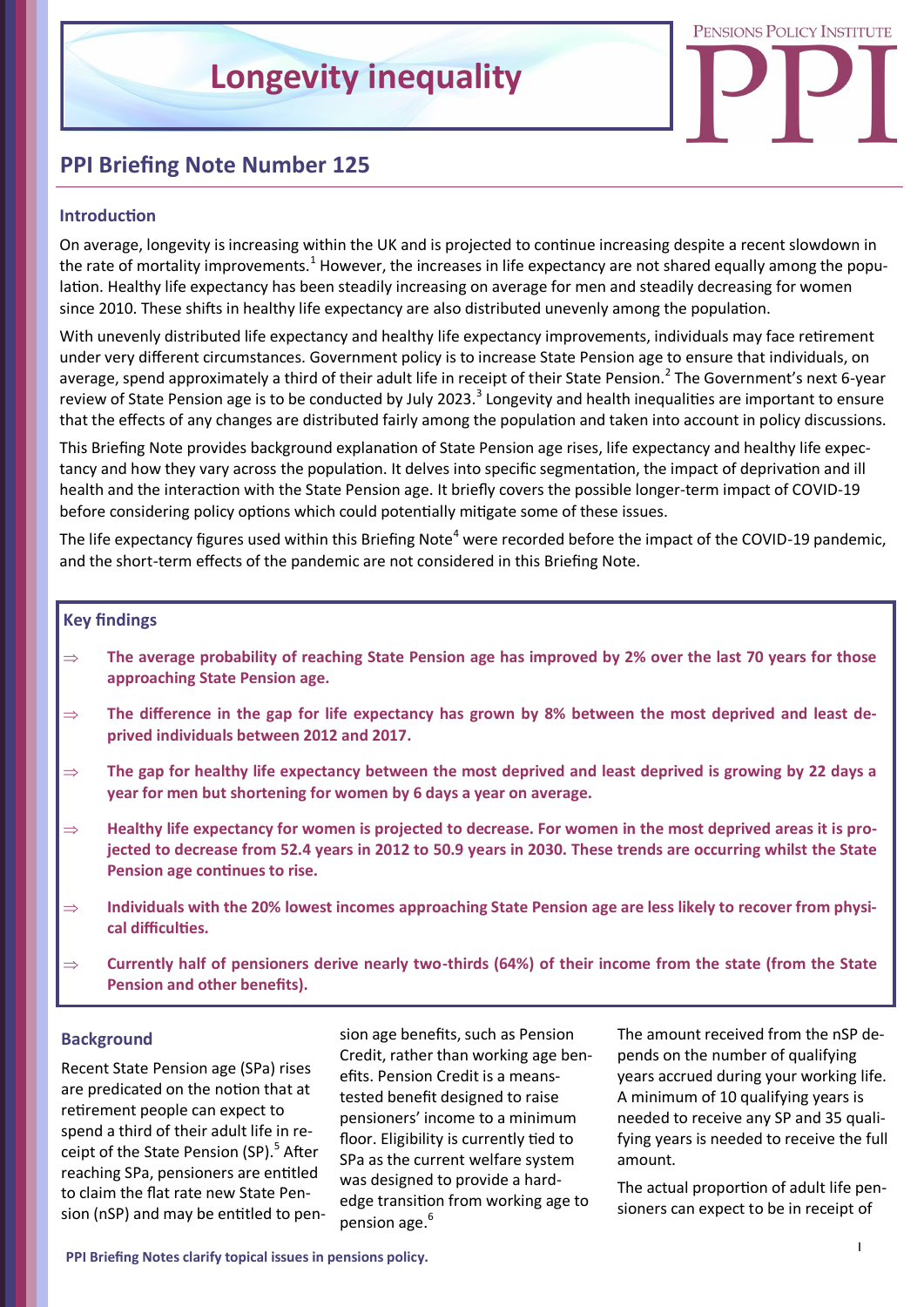

# **PPI Briefing Note Number 125**

#### **Introduction**

On average, longevity is increasing within the UK and is projected to continue increasing despite a recent slowdown in the rate of mortality improvements.<sup>1</sup> However, the increases in life expectancy are not shared equally among the population. Healthy life expectancy has been steadily increasing on average for men and steadily decreasing for women since 2010. These shifts in healthy life expectancy are also distributed unevenly among the population.

With unevenly distributed life expectancy and healthy life expectancy improvements, individuals may face retirement under very different circumstances. Government policy is to increase State Pension age to ensure that individuals, on average, spend approximately a third of their adult life in receipt of their State Pension.<sup>2</sup> The Government's next 6-year review of State Pension age is to be conducted by July 2023.<sup>3</sup> Longevity and health inequalities are important to ensure that the effects of any changes are distributed fairly among the population and taken into account in policy discussions.

This Briefing Note provides background explanation of State Pension age rises, life expectancy and healthy life expectancy and how they vary across the population. It delves into specific segmentation, the impact of deprivation and ill health and the interaction with the State Pension age. It briefly covers the possible longer-term impact of COVID-19 before considering policy options which could potentially mitigate some of these issues.

The life expectancy figures used within this Briefing Note<sup>4</sup> were recorded before the impact of the COVID-19 pandemic. and the short-term effects of the pandemic are not considered in this Briefing Note.

#### **Key findings**

- **The average probability of reaching State Pension age has improved by 2% over the last 70 years for those approaching State Pension age.**
- **The difference in the gap for life expectancy has grown by 8% between the most deprived and least deprived individuals between 2012 and 2017.**
- **The gap for healthy life expectancy between the most deprived and least deprived is growing by 22 days a year for men but shortening for women by 6 days a year on average.**
- ⇒ Healthy life expectancy for women is projected to decrease. For women in the most deprived areas it is pro**jected to decrease from 52.4 years in 2012 to 50.9 years in 2030. These trends are occurring whilst the State Pension age continues to rise.**
- **Individuals with the 20% lowest incomes approaching State Pension age are less likely to recover from physical difficulties.**
- **Currently half of pensioners derive nearly two-thirds (64%) of their income from the state (from the State Pension and other benefits).**

#### **Background**

Recent State Pension age (SPa) rises are predicated on the notion that at retirement people can expect to spend a third of their adult life in receipt of the State Pension (SP).<sup>5</sup> After reaching SPa, pensioners are entitled to claim the flat rate new State Pension (nSP) and may be entitled to pension age benefits, such as Pension Credit, rather than working age benefits. Pension Credit is a meanstested benefit designed to raise pensioners' income to a minimum floor. Eligibility is currently tied to SPa as the current welfare system was designed to provide a hardedge transition from working age to pension age.<sup>6</sup>

The amount received from the nSP depends on the number of qualifying years accrued during your working life. A minimum of 10 qualifying years is needed to receive any SP and 35 qualifying years is needed to receive the full amount.

The actual proportion of adult life pensioners can expect to be in receipt of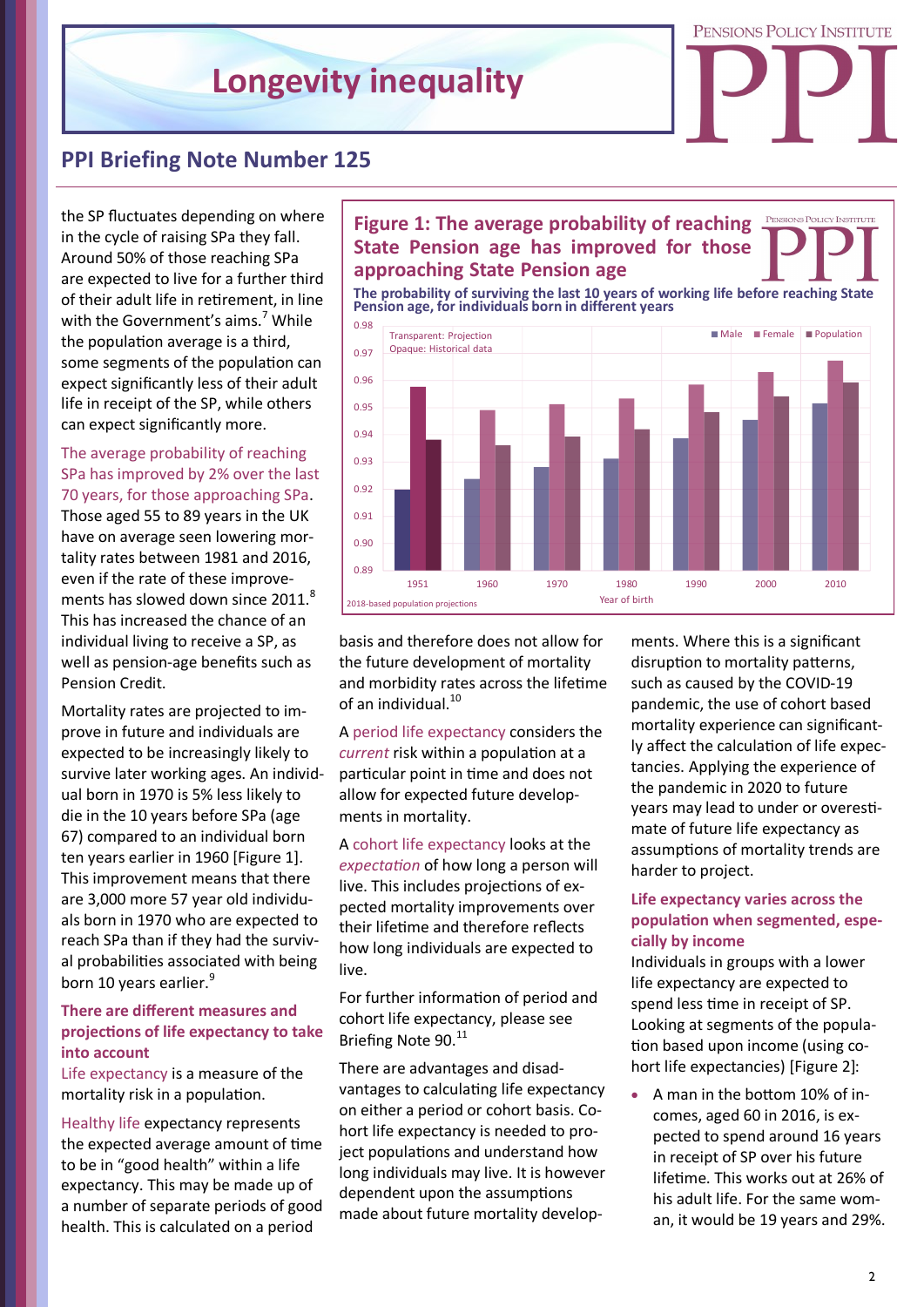

### **PPI Briefing Note Number 125**

the SP fluctuates depending on where in the cycle of raising SPa they fall. Around 50% of those reaching SPa are expected to live for a further third of their adult life in retirement, in line with the Government's aims.<sup>7</sup> While the population average is a third, some segments of the population can expect significantly less of their adult life in receipt of the SP, while others can expect significantly more.

#### The average probability of reaching SPa has improved by 2% over the last 70 years, for those approaching SPa.

Those aged 55 to 89 years in the UK have on average seen lowering mortality rates between 1981 and 2016, even if the rate of these improvements has slowed down since 2011.<sup>8</sup> This has increased the chance of an individual living to receive a SP, as well as pension-age benefits such as Pension Credit.

Mortality rates are projected to improve in future and individuals are expected to be increasingly likely to survive later working ages. An individual born in 1970 is 5% less likely to die in the 10 years before SPa (age 67) compared to an individual born ten years earlier in 1960 [Figure 1]. This improvement means that there are 3,000 more 57 year old individuals born in 1970 who are expected to reach SPa than if they had the survival probabilities associated with being born 10 years earlier.<sup>9</sup>

#### **There are different measures and projections of life expectancy to take into account**

Life expectancy is a measure of the mortality risk in a population.

Healthy life expectancy represents the expected average amount of time to be in "good health" within a life expectancy. This may be made up of a number of separate periods of good health. This is calculated on a period

#### **PENSIONS POLICY INSTITUTE Figure 1: The average probability of reaching State Pension age has improved for those approaching State Pension age**

**Pension age, for individuals born in different years**



basis and therefore does not allow for the future development of mortality and morbidity rates across the lifetime of an individual.<sup>10</sup>

A period life expectancy considers the *current* risk within a population at a particular point in time and does not allow for expected future developments in mortality.

A cohort life expectancy looks at the *expectation* of how long a person will live. This includes projections of expected mortality improvements over their lifetime and therefore reflects how long individuals are expected to live.

For further information of period and cohort life expectancy, please see Briefing Note 90.<sup>11</sup>

There are advantages and disadvantages to calculating life expectancy on either a period or cohort basis. Cohort life expectancy is needed to project populations and understand how long individuals may live. It is however dependent upon the assumptions made about future mortality developments. Where this is a significant disruption to mortality patterns, such as caused by the COVID-19 pandemic, the use of cohort based mortality experience can significantly affect the calculation of life expectancies. Applying the experience of the pandemic in 2020 to future years may lead to under or overestimate of future life expectancy as assumptions of mortality trends are harder to project.

#### **Life expectancy varies across the population when segmented, especially by income**

Individuals in groups with a lower life expectancy are expected to spend less time in receipt of SP. Looking at segments of the population based upon income (using cohort life expectancies) [Figure 2]:

• A man in the bottom 10% of incomes, aged 60 in 2016, is expected to spend around 16 years in receipt of SP over his future lifetime. This works out at 26% of his adult life. For the same wom-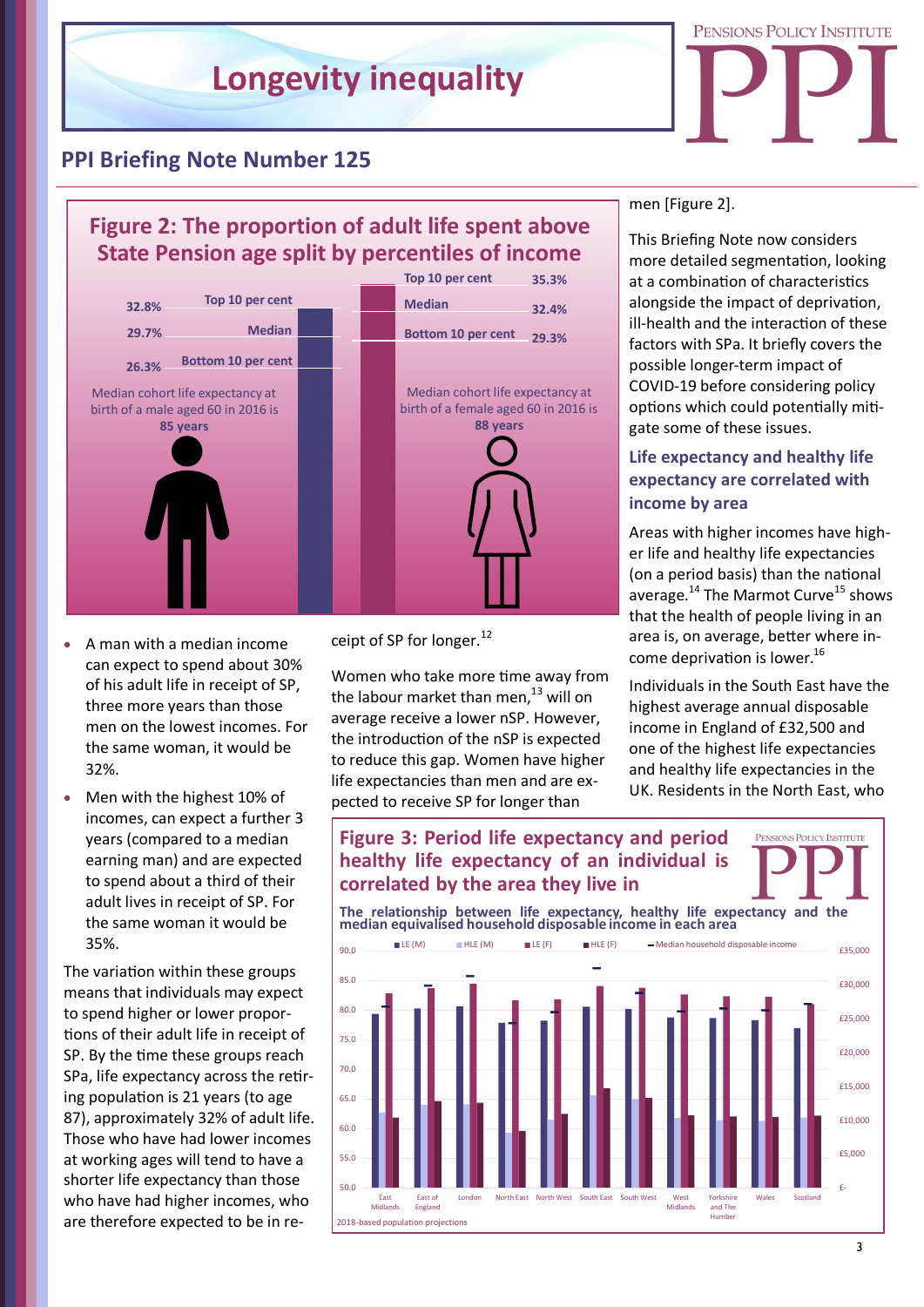

### **PPI Briefing Note Number 125**

# **Figure 2: The proportion of adult life spent above State Pension age split by percentiles of income**



- A man with a median income can expect to spend about 30% of his adult life in receipt of SP, three more years than those men on the lowest incomes. For the same woman, it would be 32%.
- Men with the highest 10% of incomes, can expect a further 3 years (compared to a median earning man) and are expected to spend about a third of their adult lives in receipt of SP. For the same woman it would be 35%.

The variation within these groups means that individuals may expect to spend higher or lower proportions of their adult life in receipt of SP. By the time these groups reach SPa, life expectancy across the retiring population is 21 years (to age 87), approximately 32% of adult life. Those who have had lower incomes at working ages will tend to have a shorter life expectancy than those who have had higher incomes, who are therefore expected to be in receipt of SP for longer.<sup>12</sup>

Women who take more time away from the labour market than men, $^{13}$  will on average receive a lower nSP. However, the introduction of the nSP is expected to reduce this gap. Women have higher life expectancies than men and are expected to receive SP for longer than

**Figure 3: Period life expectancy and period**

men [Figure 2].

This Briefing Note now considers more detailed segmentation, looking at a combination of characteristics alongside the impact of deprivation, ill-health and the interaction of these factors with SPa. It briefly covers the possible longer-term impact of COVID-19 before considering policy options which could potentially mitigate some of these issues.

### **Life expectancy and healthy life expectancy are correlated with income by area**

Areas with higher incomes have higher life and healthy life expectancies (on a period basis) than the national average.<sup>14</sup> The Marmot Curve<sup>15</sup> shows that the health of people living in an area is, on average, better where income deprivation is lower.<sup>16</sup>

Individuals in the South East have the highest average annual disposable income in England of £32,500 and one of the highest life expectancies and healthy life expectancies in the UK. Residents in the North East, who

**DNS POLICY INSTITUTE** 

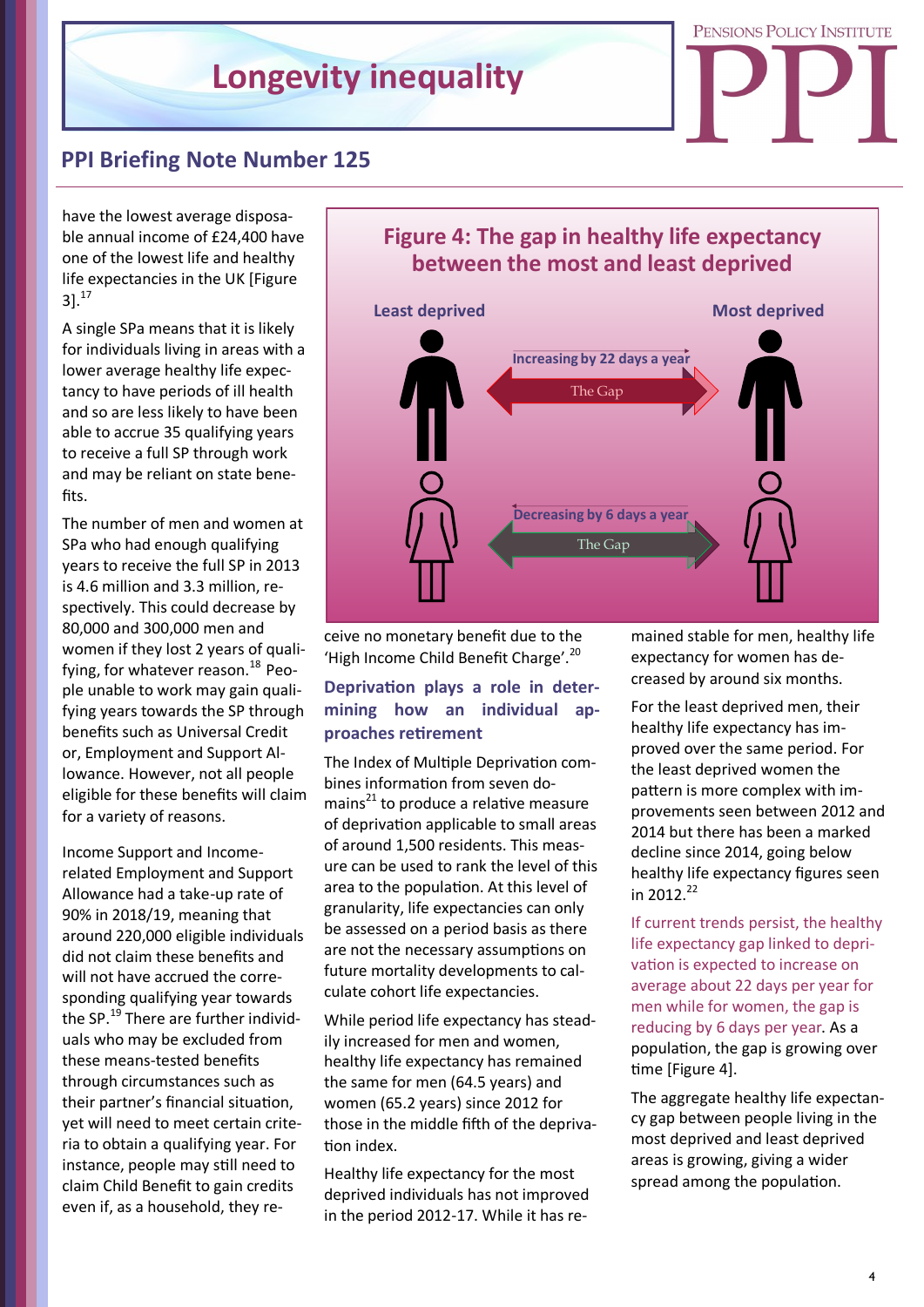

# **PPI Briefing Note Number 125**

have the lowest average disposable annual income of £24,400 have one of the lowest life and healthy life expectancies in the UK [Figure  $31.<sup>17</sup>$ 

A single SPa means that it is likely for individuals living in areas with a lower average healthy life expectancy to have periods of ill health and so are less likely to have been able to accrue 35 qualifying years to receive a full SP through work and may be reliant on state benefits.

The number of men and women at SPa who had enough qualifying years to receive the full SP in 2013 is 4.6 million and 3.3 million, respectively. This could decrease by 80,000 and 300,000 men and women if they lost 2 years of qualifying, for whatever reason. $^{18}$  People unable to work may gain qualifying years towards the SP through benefits such as Universal Credit or, Employment and Support Allowance. However, not all people eligible for these benefits will claim for a variety of reasons.

Income Support and Incomerelated Employment and Support Allowance had a take-up rate of 90% in 2018/19, meaning that around 220,000 eligible individuals did not claim these benefits and will not have accrued the corresponding qualifying year towards the SP.<sup>19</sup> There are further individuals who may be excluded from these means-tested benefits through circumstances such as their partner's financial situation, yet will need to meet certain criteria to obtain a qualifying year. For instance, people may still need to claim Child Benefit to gain credits even if, as a household, they re-

# **Figure 4: The gap in healthy life expectancy between the most and least deprived Least deprived Most deprived** The Gap The Gap **Decreasing by 6 days a year Increasing by 22 days a year**

ceive no monetary benefit due to the 'High Income Child Benefit Charge'.<sup>20</sup>

### **Deprivation plays a role in determining how an individual approaches retirement**

The Index of Multiple Deprivation combines information from seven domains $^{21}$  to produce a relative measure of deprivation applicable to small areas of around 1,500 residents. This measure can be used to rank the level of this area to the population. At this level of granularity, life expectancies can only be assessed on a period basis as there are not the necessary assumptions on future mortality developments to calculate cohort life expectancies.

While period life expectancy has steadily increased for men and women, healthy life expectancy has remained the same for men (64.5 years) and women (65.2 years) since 2012 for those in the middle fifth of the deprivation index.

Healthy life expectancy for the most deprived individuals has not improved in the period 2012-17. While it has remained stable for men, healthy life expectancy for women has decreased by around six months.

For the least deprived men, their healthy life expectancy has improved over the same period. For the least deprived women the pattern is more complex with improvements seen between 2012 and 2014 but there has been a marked decline since 2014, going below healthy life expectancy figures seen in 2012. $^{22}$ 

If current trends persist, the healthy life expectancy gap linked to deprivation is expected to increase on average about 22 days per year for men while for women, the gap is reducing by 6 days per year. As a population, the gap is growing over time [Figure 4].

The aggregate healthy life expectancy gap between people living in the most deprived and least deprived areas is growing, giving a wider spread among the population.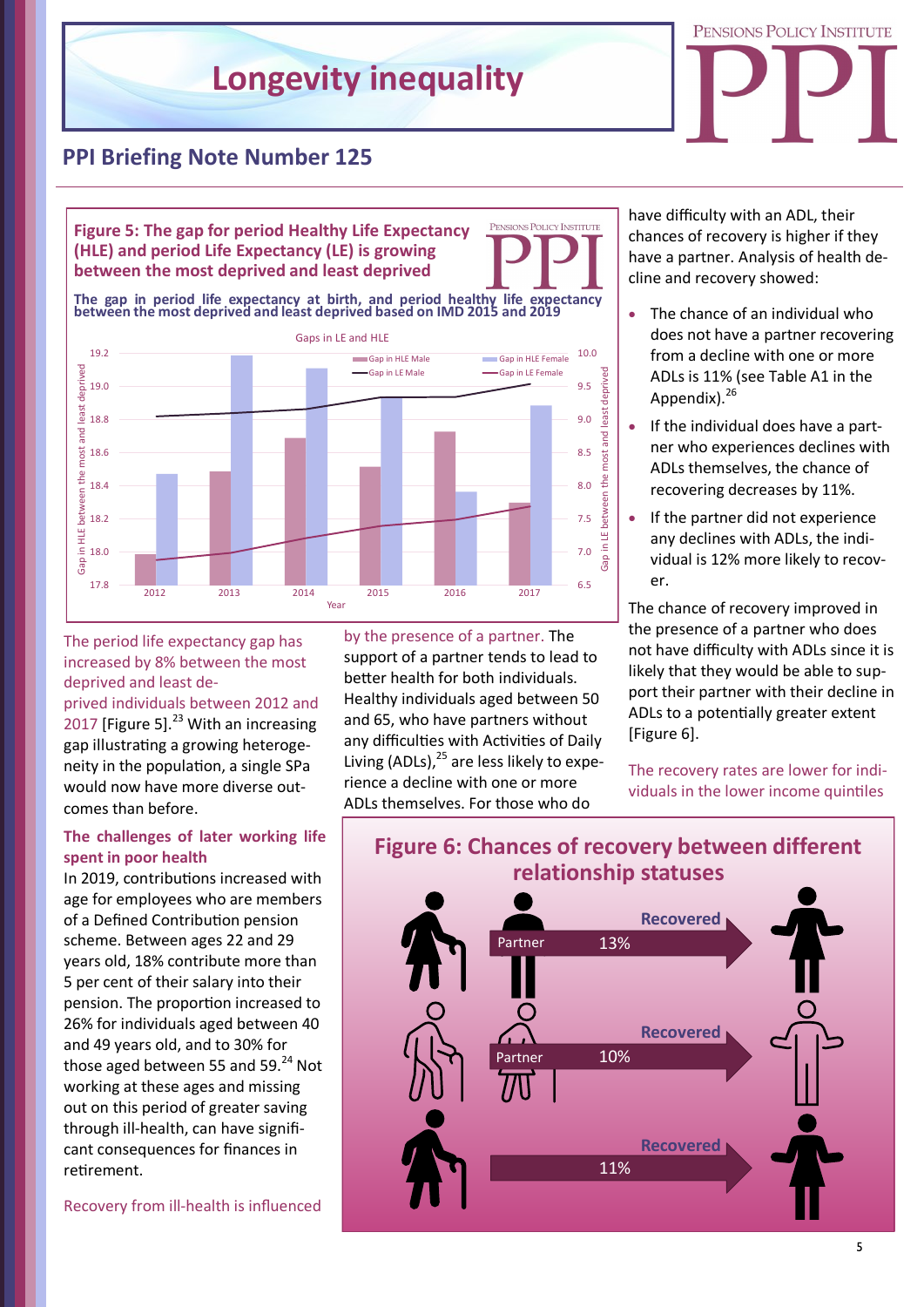

# **PPI Briefing Note Number 125**

**Figure 5: The gap for period Healthy Life Expectancy (HLE) and period Life Expectancy (LE) is growing between the most deprived and least deprived**

**The gap in period life expectancy at birth, and period healthy life expectancy between the most deprived and least deprived based on IMD 2015 and 2019**



The period life expectancy gap has increased by 8% between the most deprived and least de-

prived individuals between 2012 and 2017 [Figure 5]. $^{23}$  With an increasing gap illustrating a growing heterogeneity in the population, a single SPa would now have more diverse outcomes than before.

#### **The challenges of later working life spent in poor health**

In 2019, contributions increased with age for employees who are members of a Defined Contribution pension scheme. Between ages 22 and 29 years old, 18% contribute more than 5 per cent of their salary into their pension. The proportion increased to 26% for individuals aged between 40 and 49 years old, and to 30% for those aged between 55 and 59. $^{24}$  Not working at these ages and missing out on this period of greater saving through ill-health, can have significant consequences for finances in retirement.

Recovery from ill-health is influenced

by the presence of a partner. The support of a partner tends to lead to better health for both individuals. Healthy individuals aged between 50 and 65, who have partners without any difficulties with Activities of Daily Living (ADLs). $^{25}$  are less likely to experience a decline with one or more ADLs themselves. For those who do

PENSIONS POLICY INSTITUTE

have difficulty with an ADL, their chances of recovery is higher if they have a partner. Analysis of health decline and recovery showed:

- The chance of an individual who does not have a partner recovering from a decline with one or more ADLs is 11% (see Table A1 in the Appendix).<sup>26</sup>
- If the individual does have a partner who experiences declines with ADLs themselves, the chance of recovering decreases by 11%.
- If the partner did not experience any declines with ADLs, the individual is 12% more likely to recover.

The chance of recovery improved in the presence of a partner who does not have difficulty with ADLs since it is likely that they would be able to support their partner with their decline in ADLs to a potentially greater extent [Figure 6].

The recovery rates are lower for individuals in the lower income quintiles

# **Figure 6: Chances of recovery between different relationship statuses**

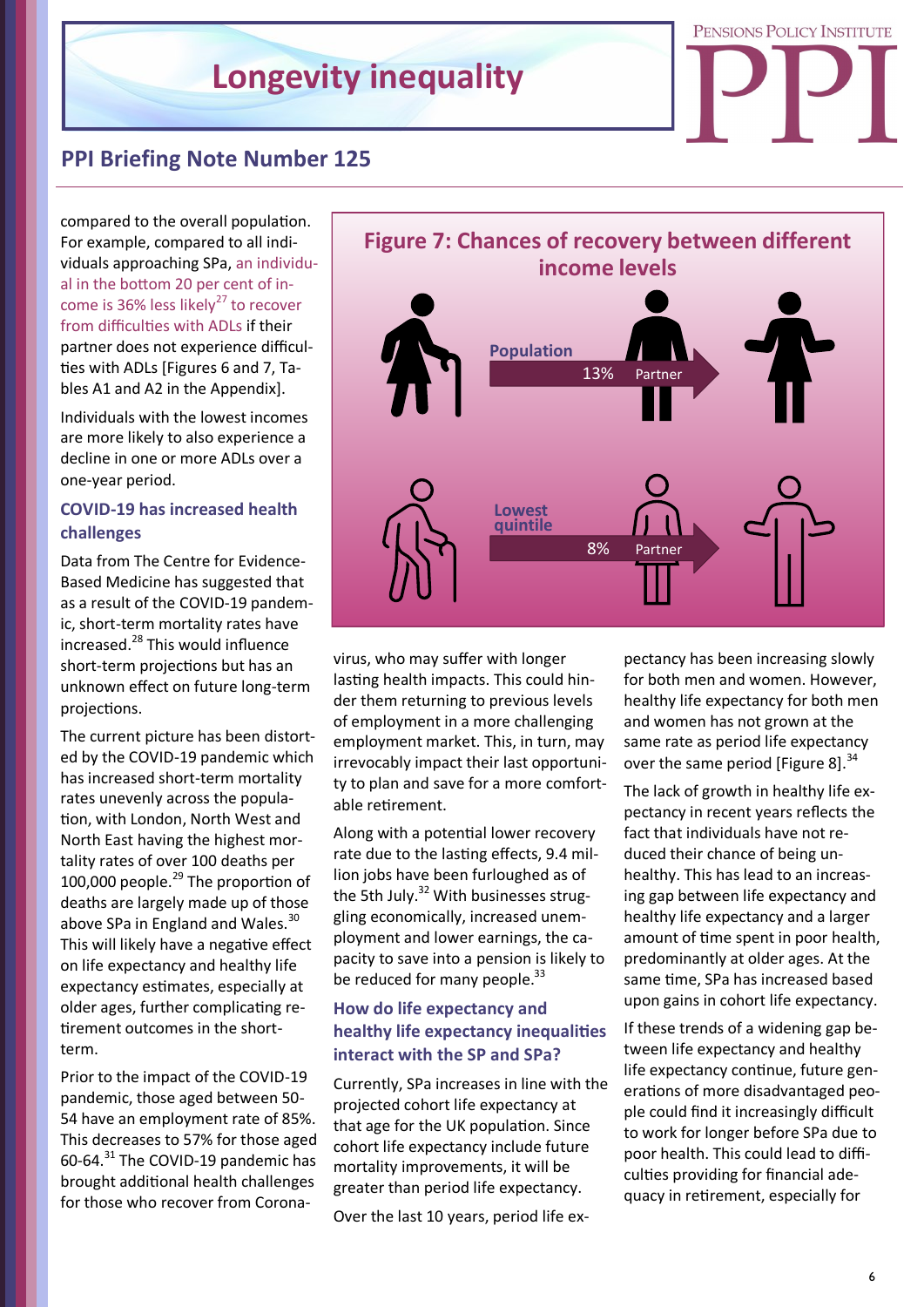

### **PPI Briefing Note Number 125**

compared to the overall population. For example, compared to all individuals approaching SPa, an individual in the bottom 20 per cent of income is 36% less likely<sup>27</sup> to recover from difficulties with ADLs if their partner does not experience difficulties with ADLs [Figures 6 and 7, Tables A1 and A2 in the Appendix].

Individuals with the lowest incomes are more likely to also experience a decline in one or more ADLs over a one-year period.

### **COVID-19 has increased health challenges**

Data from The Centre for Evidence-Based Medicine has suggested that as a result of the COVID-19 pandemic, short-term mortality rates have increased.<sup>28</sup> This would influence short-term projections but has an unknown effect on future long-term projections.

The current picture has been distorted by the COVID-19 pandemic which has increased short-term mortality rates unevenly across the population, with London, North West and North East having the highest mortality rates of over 100 deaths per 100,000 people. $^{29}$  The proportion of deaths are largely made up of those above SPa in England and Wales.<sup>30</sup> This will likely have a negative effect on life expectancy and healthy life expectancy estimates, especially at older ages, further complicating retirement outcomes in the shortterm.

Prior to the impact of the COVID-19 pandemic, those aged between 50- 54 have an employment rate of 85%. This decreases to 57% for those aged 60-64.<sup>31</sup> The COVID-19 pandemic has brought additional health challenges for those who recover from Corona-



virus, who may suffer with longer lasting health impacts. This could hinder them returning to previous levels of employment in a more challenging employment market. This, in turn, may irrevocably impact their last opportunity to plan and save for a more comfortable retirement.

Along with a potential lower recovery rate due to the lasting effects, 9.4 million jobs have been furloughed as of the 5th July. $32$  With businesses struggling economically, increased unemployment and lower earnings, the capacity to save into a pension is likely to be reduced for many people. $33$ 

### **How do life expectancy and healthy life expectancy inequalities interact with the SP and SPa?**

Currently, SPa increases in line with the projected cohort life expectancy at that age for the UK population. Since cohort life expectancy include future mortality improvements, it will be greater than period life expectancy. Over the last 10 years, period life ex-

pectancy has been increasing slowly for both men and women. However, healthy life expectancy for both men and women has not grown at the same rate as period life expectancy over the same period [Figure 8]. $34$ 

The lack of growth in healthy life expectancy in recent years reflects the fact that individuals have not reduced their chance of being unhealthy. This has lead to an increasing gap between life expectancy and healthy life expectancy and a larger amount of time spent in poor health, predominantly at older ages. At the same time, SPa has increased based upon gains in cohort life expectancy.

If these trends of a widening gap between life expectancy and healthy life expectancy continue, future generations of more disadvantaged people could find it increasingly difficult to work for longer before SPa due to poor health. This could lead to difficulties providing for financial adequacy in retirement, especially for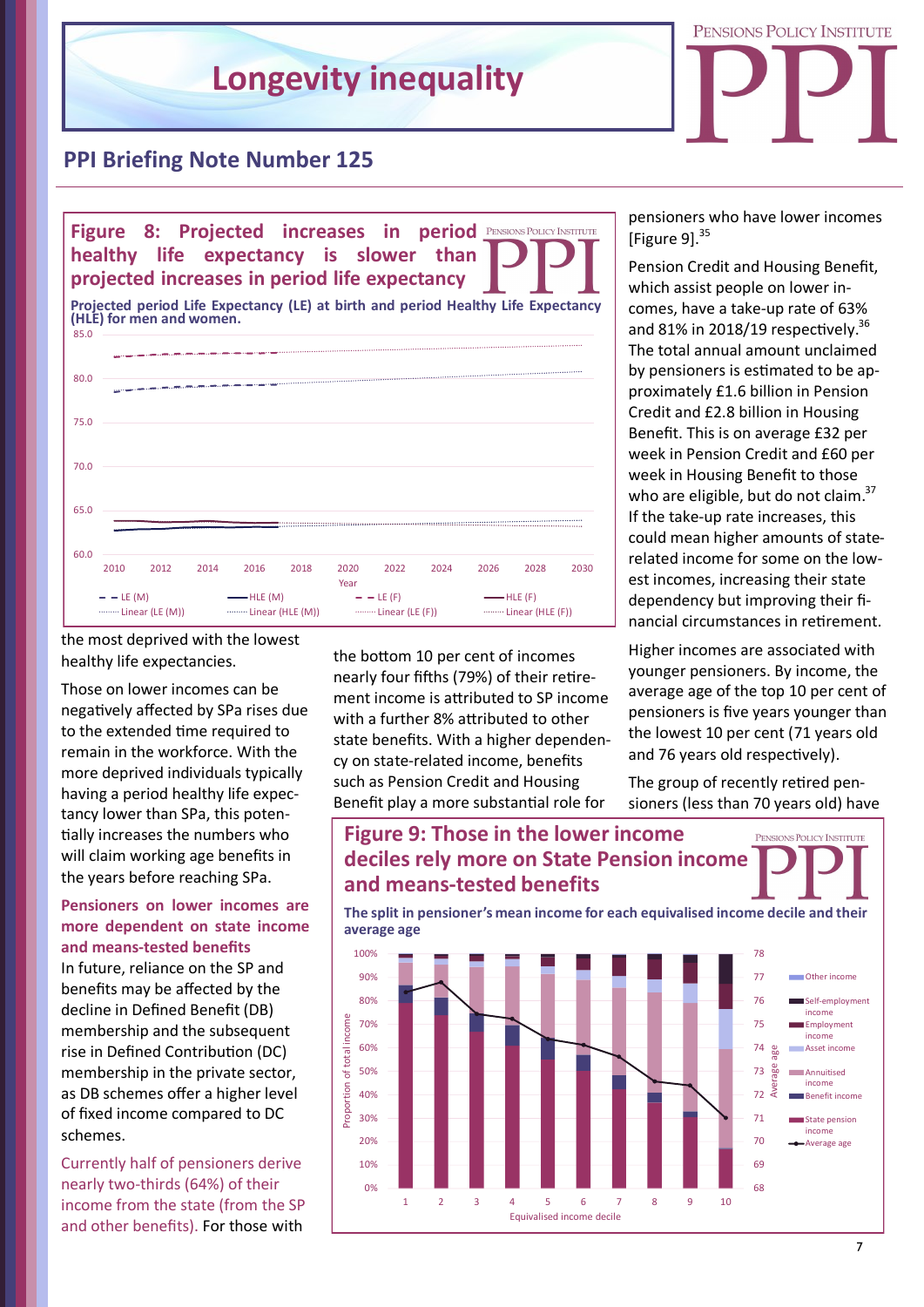

### **PPI Briefing Note Number 125**



the most deprived with the lowest healthy life expectancies.

Those on lower incomes can be negatively affected by SPa rises due to the extended time required to remain in the workforce. With the more deprived individuals typically having a period healthy life expectancy lower than SPa, this potentially increases the numbers who will claim working age benefits in the years before reaching SPa.

#### **Pensioners on lower incomes are more dependent on state income and means-tested benefits**

In future, reliance on the SP and benefits may be affected by the decline in Defined Benefit (DB) membership and the subsequent rise in Defined Contribution (DC) membership in the private sector, as DB schemes offer a higher level of fixed income compared to DC schemes.

Currently half of pensioners derive nearly two-thirds (64%) of their income from the state (from the SP and other benefits). For those with

the bottom 10 per cent of incomes nearly four fifths (79%) of their retirement income is attributed to SP income with a further 8% attributed to other state benefits. With a higher dependency on state-related income, benefits such as Pension Credit and Housing Benefit play a more substantial role for

pensioners who have lower incomes [Figure  $91.<sup>35</sup>$ 

Pension Credit and Housing Benefit, which assist people on lower incomes, have a take-up rate of 63% and 81% in 2018/19 respectively.<sup>36</sup> The total annual amount unclaimed by pensioners is estimated to be approximately £1.6 billion in Pension Credit and £2.8 billion in Housing Benefit. This is on average £32 per week in Pension Credit and £60 per week in Housing Benefit to those who are eligible, but do not claim.<sup>37</sup> If the take-up rate increases, this could mean higher amounts of staterelated income for some on the lowest incomes, increasing their state dependency but improving their financial circumstances in retirement.

Higher incomes are associated with younger pensioners. By income, the average age of the top 10 per cent of pensioners is five years younger than the lowest 10 per cent (71 years old and 76 years old respectively).

The group of recently retired pensioners (less than 70 years old) have

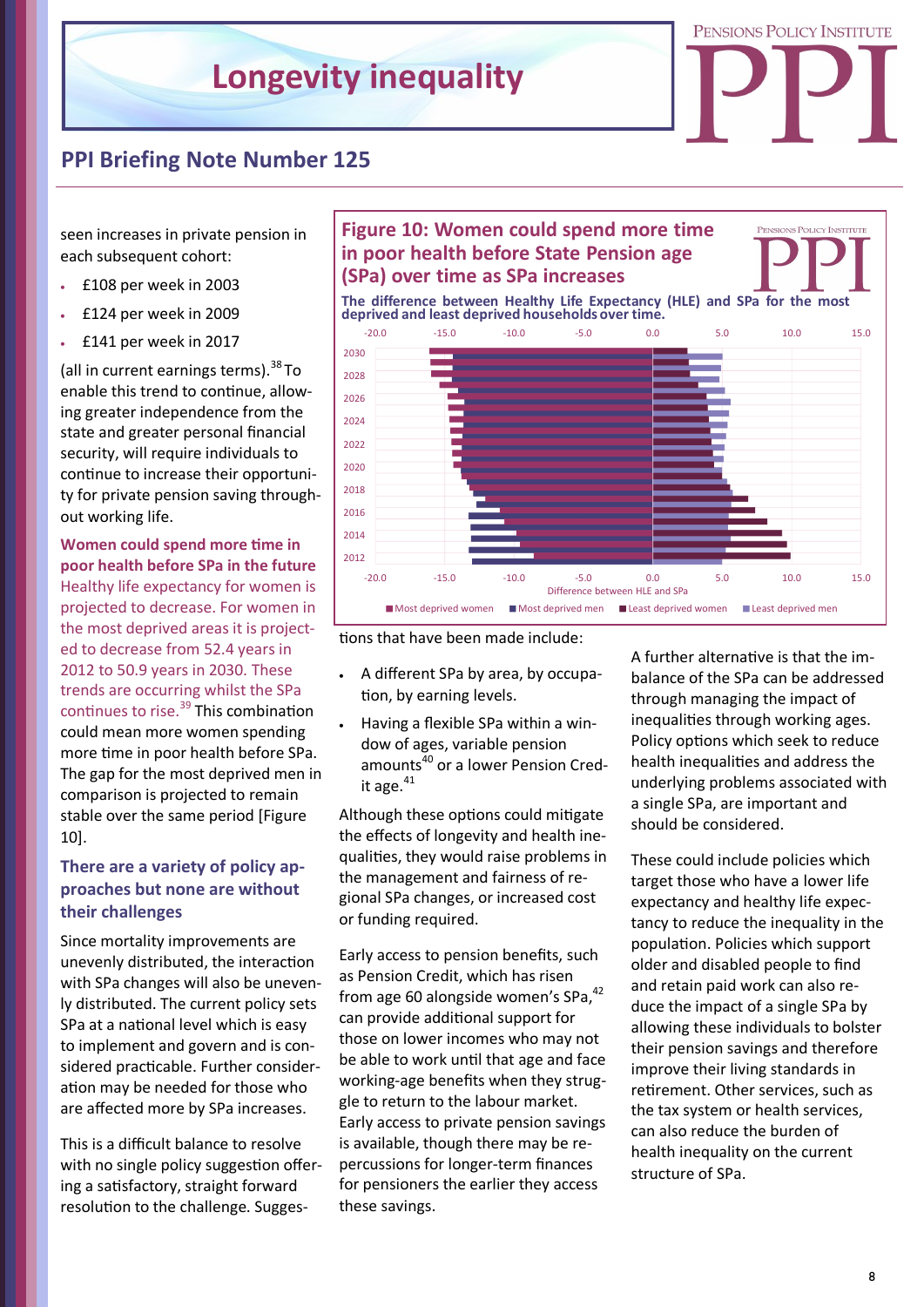

# **PPI Briefing Note Number 125**

seen increases in private pension in each subsequent cohort:

- £108 per week in 2003
- £124 per week in 2009
- £141 per week in 2017

(all in current earnings terms).  $38$  To enable this trend to continue, allowing greater independence from the state and greater personal financial security, will require individuals to continue to increase their opportunity for private pension saving throughout working life.

**Women could spend more time in poor health before SPa in the future** Healthy life expectancy for women is projected to decrease. For women in the most deprived areas it is projected to decrease from 52.4 years in 2012 to 50.9 years in 2030. These trends are occurring whilst the SPa continues to rise.<sup>39</sup> This combination could mean more women spending more time in poor health before SPa. The gap for the most deprived men in comparison is projected to remain stable over the same period [Figure 10].

### **There are a variety of policy approaches but none are without their challenges**

Since mortality improvements are unevenly distributed, the interaction with SPa changes will also be unevenly distributed. The current policy sets SPa at a national level which is easy to implement and govern and is considered practicable. Further consideration may be needed for those who are affected more by SPa increases.

This is a difficult balance to resolve with no single policy suggestion offering a satisfactory, straight forward resolution to the challenge. Sugges-

# **in poor health before State Pension age (SPa) over time as SPa increases**

PENSIONS POLICY INSTITUTE

**The difference between Healthy Life Expectancy (HLE) and SPa for the most deprived and least deprived households over time.**





- A different SPa by area, by occupation, by earning levels.
- Having a flexible SPa within a window of ages, variable pension amounts<sup>40</sup> or a lower Pension Credit age. $41$

Although these options could mitigate the effects of longevity and health inequalities, they would raise problems in the management and fairness of regional SPa changes, or increased cost or funding required.

Early access to pension benefits, such as Pension Credit, which has risen from age 60 alongside women's SPa.<sup>42</sup> can provide additional support for those on lower incomes who may not be able to work until that age and face working-age benefits when they struggle to return to the labour market. Early access to private pension savings is available, though there may be repercussions for longer-term finances for pensioners the earlier they access

A further alternative is that the imbalance of the SPa can be addressed through managing the impact of inequalities through working ages. Policy options which seek to reduce health inequalities and address the underlying problems associated with a single SPa, are important and should be considered.

These could include policies which target those who have a lower life expectancy and healthy life expectancy to reduce the inequality in the population. Policies which support older and disabled people to find and retain paid work can also reduce the impact of a single SPa by allowing these individuals to bolster their pension savings and therefore improve their living standards in retirement. Other services, such as the tax system or health services, can also reduce the burden of health inequality on the current structure of SPa.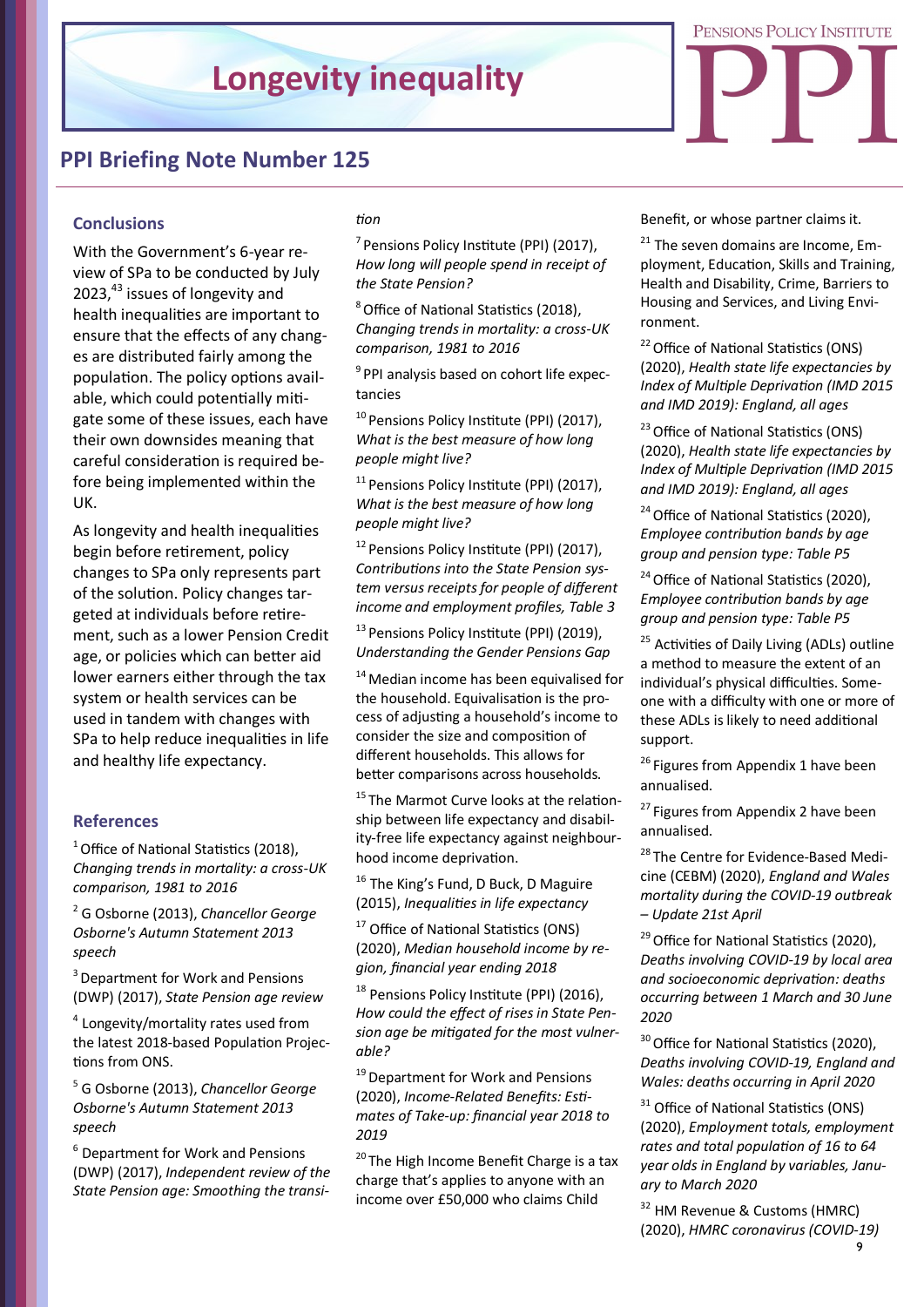

#### **Conclusions**

With the Government's 6-year review of SPa to be conducted by July 2023,<sup>43</sup> issues of longevity and health inequalities are important to ensure that the effects of any changes are distributed fairly among the population. The policy options available, which could potentially mitigate some of these issues, each have their own downsides meaning that careful consideration is required before being implemented within the UK.

As longevity and health inequalities begin before retirement, policy changes to SPa only represents part of the solution. Policy changes targeted at individuals before retirement, such as a lower Pension Credit age, or policies which can better aid lower earners either through the tax system or health services can be used in tandem with changes with SPa to help reduce inequalities in life and healthy life expectancy.

#### **References**

 $1$  Office of National Statistics (2018), *Changing trends in mortality: a cross-UK comparison, 1981 to 2016*

<sup>2</sup> G Osborne (2013), *Chancellor George Osborne's Autumn Statement 2013 speech* 

<sup>3</sup> Department for Work and Pensions (DWP) (2017), *State Pension age review*

<sup>4</sup> Longevity/mortality rates used from the latest 2018-based Population Projections from ONS.

<sup>5</sup> G Osborne (2013), *Chancellor George Osborne's Autumn Statement 2013 speech* 

<sup>6</sup> Department for Work and Pensions (DWP) (2017), *Independent review of the State Pension age: Smoothing the transi-*

### *tion*

 $7$  Pensions Policy Institute (PPI) (2017), *How long will people spend in receipt of the State Pension?*

<sup>8</sup>Office of National Statistics (2018), *Changing trends in mortality: a cross-UK comparison, 1981 to 2016*

<sup>9</sup> PPI analysis based on cohort life expectancies

<sup>10</sup> Pensions Policy Institute (PPI) (2017), *What is the best measure of how long people might live?*

<sup>11</sup> Pensions Policy Institute (PPI) (2017), *What is the best measure of how long people might live?*

<sup>12</sup> Pensions Policy Institute (PPI) (2017), *Contributions into the State Pension system versus receipts for people of different income and employment profiles, Table 3*

<sup>13</sup> Pensions Policy Institute (PPI) (2019), *Understanding the Gender Pensions Gap*

<sup>14</sup> Median income has been equivalised for the household. Equivalisation is the process of adjusting a household's income to consider the size and composition of different households. This allows for better comparisons across households.

<sup>15</sup>The Marmot Curve looks at the relationship between life expectancy and disability-free life expectancy against neighbourhood income deprivation.

<sup>16</sup> The King's Fund, D Buck, D Maguire (2015), *Inequalities in life expectancy*

<sup>17</sup> Office of National Statistics (ONS) (2020), *Median household income by region, financial year ending 2018*

<sup>18</sup> Pensions Policy Institute (PPI) (2016), *How could the effect of rises in State Pension age be mitigated for the most vulnerable?*

<sup>19</sup> Department for Work and Pensions (2020), *Income-Related Benefits: Estimates of Take-up: financial year 2018 to 2019*

<sup>20</sup> The High Income Benefit Charge is a tax charge that's applies to anyone with an income over £50,000 who claims Child

Benefit, or whose partner claims it.

<sup>21</sup> The seven domains are Income, Employment, Education, Skills and Training, Health and Disability, Crime, Barriers to Housing and Services, and Living Environment.

PENSIONS POLICY INSTITUTE

<sup>22</sup> Office of National Statistics (ONS) (2020), *Health state life expectancies by Index of Multiple Deprivation (IMD 2015 and IMD 2019): England, all ages*

<sup>23</sup> Office of National Statistics (ONS) (2020), *Health state life expectancies by Index of Multiple Deprivation (IMD 2015 and IMD 2019): England, all ages*

<sup>24</sup> Office of National Statistics (2020), *Employee contribution bands by age group and pension type: Table P5*

<sup>24</sup> Office of National Statistics (2020), *Employee contribution bands by age group and pension type: Table P5*

<sup>25</sup> Activities of Daily Living (ADLs) outline a method to measure the extent of an individual's physical difficulties. Someone with a difficulty with one or more of these ADLs is likely to need additional support.

<sup>26</sup> Figures from Appendix 1 have been annualised.

<sup>27</sup> Figures from Appendix 2 have been annualised.

<sup>28</sup> The Centre for Evidence-Based Medicine (CEBM) (2020), *England and Wales mortality during the COVID-19 outbreak – Update 21st April*

<sup>29</sup> Office for National Statistics (2020), *Deaths involving COVID-19 by local area and socioeconomic deprivation: deaths occurring between 1 March and 30 June 2020* 

<sup>30</sup> Office for National Statistics (2020), *Deaths involving COVID-19, England and Wales: deaths occurring in April 2020* 

<sup>31</sup> Office of National Statistics (ONS) (2020), *Employment totals, employment rates and total population of 16 to 64 year olds in England by variables, January to March 2020*

<sup>32</sup> HM Revenue & Customs (HMRC) (2020), *HMRC coronavirus (COVID-19)*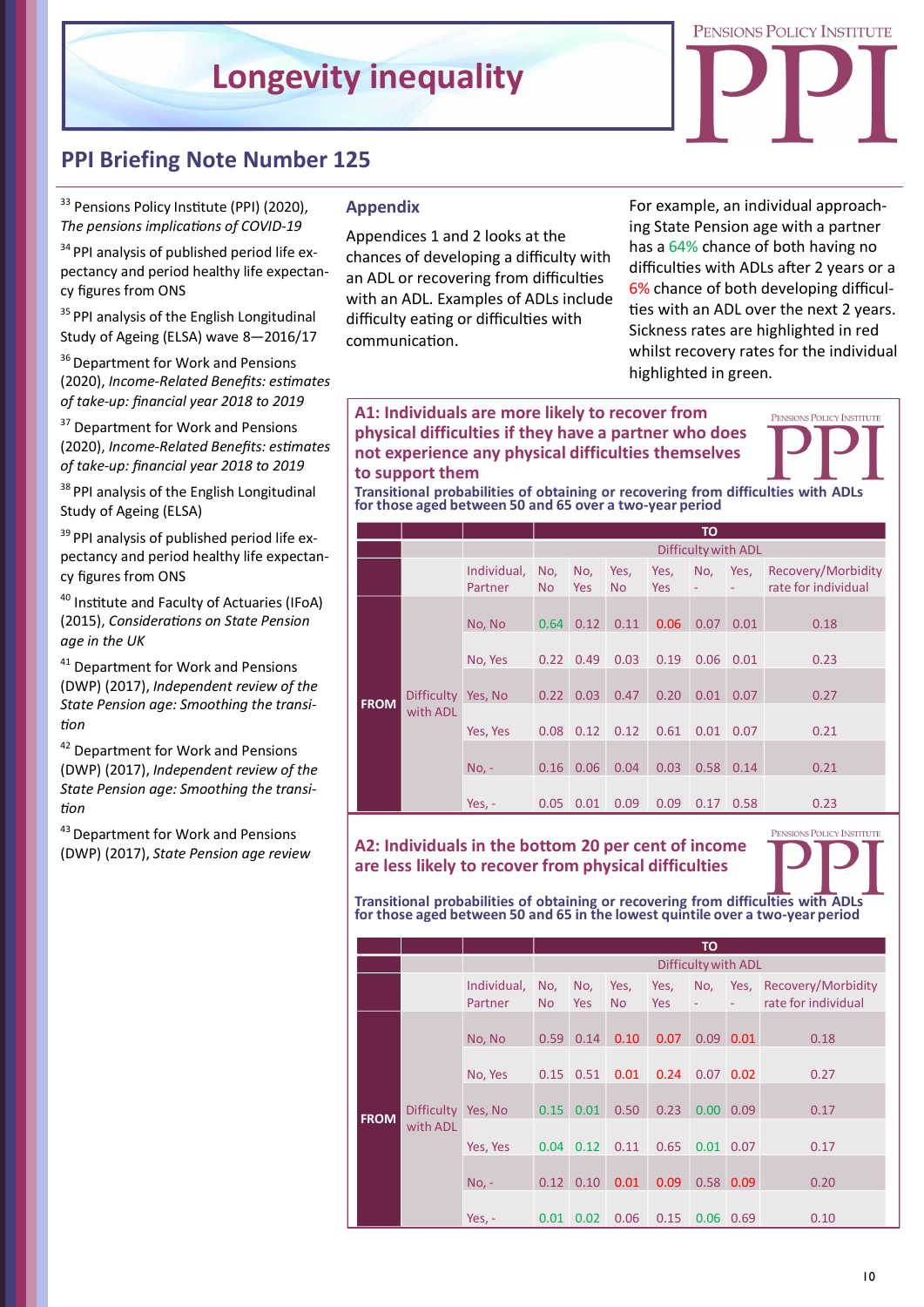

# **PPI Briefing Note Number 125**

<sup>33</sup> Pensions Policy Institute (PPI) (2020), *The pensions implications of COVID-19*

 $34$  PPI analysis of published period life expectancy and period healthy life expectancy figures from ONS

<sup>35</sup> PPI analysis of the English Longitudinal Study of Ageing (ELSA) wave 8—2016/17

<sup>36</sup> Department for Work and Pensions (2020), *Income-Related Benefits: estimates of take-up: financial year 2018 to 2019*

<sup>37</sup> Department for Work and Pensions (2020), *Income-Related Benefits: estimates of take-up: financial year 2018 to 2019*

<sup>38</sup> PPI analysis of the English Longitudinal Study of Ageing (ELSA)

<sup>39</sup> PPI analysis of published period life expectancy and period healthy life expectancy figures from ONS

<sup>40</sup> Institute and Faculty of Actuaries (IFoA) (2015), *Considerations on State Pension age in the UK* 

<sup>41</sup> Department for Work and Pensions (DWP) (2017), *Independent review of the State Pension age: Smoothing the transition*

42 Department for Work and Pensions (DWP) (2017), *Independent review of the State Pension age: Smoothing the transition*

43 Department for Work and Pensions (DWP) (2017), *State Pension age review*

### **Appendix**

Appendices 1 and 2 looks at the chances of developing a difficulty with an ADL or recovering from difficulties with an ADL. Examples of ADLs include difficulty eating or difficulties with communication.

For example, an individual approaching State Pension age with a partner has a 64% chance of both having no difficulties with ADLs after 2 years or a 6% chance of both developing difficulties with an ADL over the next 2 years. Sickness rates are highlighted in red whilst recovery rates for the individual highlighted in green.

#### **A1: Individuals are more likely to recover from physical difficulties if they have a partner who does not experience any physical difficulties themselves to support them**

**Transitional probabilities of obtaining or recovering from difficulties with ADLs for those aged between 50 and 65 over <sup>a</sup> two-year period**

|             |                               |                        | <b>TO</b>           |                   |                   |                    |      |           |                                           |  |  |
|-------------|-------------------------------|------------------------|---------------------|-------------------|-------------------|--------------------|------|-----------|-------------------------------------------|--|--|
|             |                               |                        | Difficulty with ADL |                   |                   |                    |      |           |                                           |  |  |
|             |                               | Individual,<br>Partner | No,<br><b>No</b>    | No,<br><b>Yes</b> | Yes,<br><b>No</b> | Yes,<br><b>Yes</b> | No,  | Yes,<br>÷ | Recovery/Morbidity<br>rate for individual |  |  |
| <b>FROM</b> | <b>Difficulty</b><br>with ADL | No, No                 | 0.64                | 0.12              | 0.11              | 0.06               | 0.07 | 0.01      | 0.18                                      |  |  |
|             |                               | No, Yes                | 0.22                | 0.49              | 0.03              | 0.19               | 0.06 | 0.01      | 0.23                                      |  |  |
|             |                               | Yes, No                | 0.22                | 0.03              | 0.47              | 0.20               | 0.01 | 0.07      | 0.27                                      |  |  |
|             |                               | Yes, Yes               | $0.08$ $0.12$       |                   | 0.12              | 0.61               | 0.01 | 0.07      | 0.21                                      |  |  |
|             |                               | $No. -$                | 0.16                | 0.06              | 0.04              | 0.03               | 0.58 | 0.14      | 0.21                                      |  |  |
|             |                               | Yes, $-$               | 0.05                | 0.01              | 0.09              | 0.09               | 0.17 | 0.58      | 0.23                                      |  |  |

**A2: Individuals in the bottom 20 per cent of income are less likely to recover from physical difficulties**



**Transitional probabilities of obtaining or recovering from difficulties with ADLs for those aged between 50 and 65 in the lowest quintile over <sup>a</sup> two-year period**

|             |                                |                        | <b>TO</b>           |                   |                   |             |             |               |                                                |  |
|-------------|--------------------------------|------------------------|---------------------|-------------------|-------------------|-------------|-------------|---------------|------------------------------------------------|--|
|             |                                |                        | Difficulty with ADL |                   |                   |             |             |               |                                                |  |
|             |                                | Individual,<br>Partner | No,<br><b>No</b>    | No,<br><b>Yes</b> | Yes,<br><b>No</b> | Yes,<br>Yes | No,<br>÷,   | ÷             | Yes, Recovery/Morbidity<br>rate for individual |  |
| <b>FROM</b> | Difficulty Yes, No<br>with ADL | No, No                 | 0.59                | 0.14              | 0.10              | 0.07        |             | $0.09$ $0.01$ | 0.18                                           |  |
|             |                                | No, Yes                | 0.15                | 0.51              | 0.01              | 0.24        | $0.07$ 0.02 |               | 0.27                                           |  |
|             |                                |                        | 0.15                | 0.01              | 0.50              | 0.23        | 0.00        | 0.09          | 0.17                                           |  |
|             |                                | Yes, Yes               | 0.04                | 0.12              | 0.11              | 0.65        |             | $0.01$ 0.07   | 0.17                                           |  |
|             |                                | $No. -$                | 0.12                | 0.10              | 0.01              | 0.09        | 0.58        | 0.09          | 0.20                                           |  |
|             |                                | Yes, $-$               | 0.01                | 0.02              | 0.06              | 0.15        |             | $0.06$ $0.69$ | 0.10                                           |  |